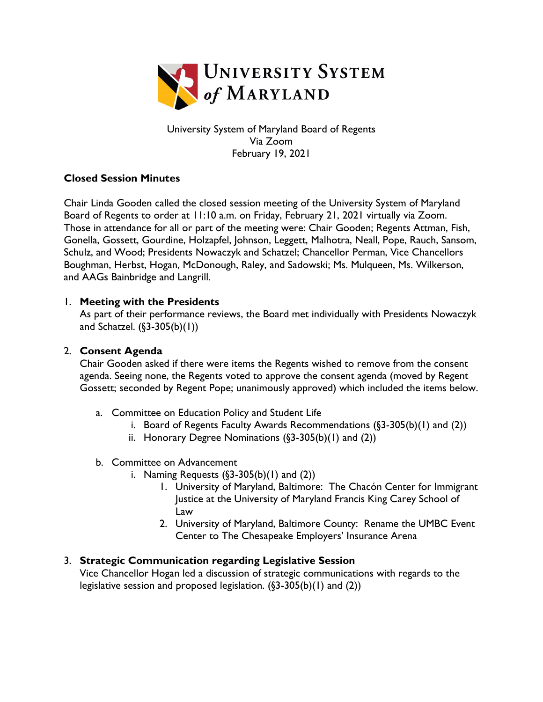

University System of Maryland Board of Regents Via Zoom February 19, 2021

### **Closed Session Minutes**

Chair Linda Gooden called the closed session meeting of the University System of Maryland Board of Regents to order at 11:10 a.m. on Friday, February 21, 2021 virtually via Zoom. Those in attendance for all or part of the meeting were: Chair Gooden; Regents Attman, Fish, Gonella, Gossett, Gourdine, Holzapfel, Johnson, Leggett, Malhotra, Neall, Pope, Rauch, Sansom, Schulz, and Wood; Presidents Nowaczyk and Schatzel; Chancellor Perman, Vice Chancellors Boughman, Herbst, Hogan, McDonough, Raley, and Sadowski; Ms. Mulqueen, Ms. Wilkerson, and AAGs Bainbridge and Langrill.

### 1. **Meeting with the Presidents**

As part of their performance reviews, the Board met individually with Presidents Nowaczyk and Schatzel. (§3-305(b)(1))

## 2. **Consent Agenda**

Chair Gooden asked if there were items the Regents wished to remove from the consent agenda. Seeing none, the Regents voted to approve the consent agenda (moved by Regent Gossett; seconded by Regent Pope; unanimously approved) which included the items below.

- a. Committee on Education Policy and Student Life
	- i. Board of Regents Faculty Awards Recommendations (§3-305(b)(1) and (2))
	- ii. Honorary Degree Nominations  $(\S 3 305(b)(1)$  and  $(2))$
- b. Committee on Advancement
	- i. Naming Requests  $(\S 3 305(b)(1)$  and  $(2))$ 
		- 1. University of Maryland, Baltimore: The Chacón Center for Immigrant Justice at the University of Maryland Francis King Carey School of Law
		- 2. University of Maryland, Baltimore County: Rename the UMBC Event Center to The Chesapeake Employers' Insurance Arena

# 3. **Strategic Communication regarding Legislative Session**

Vice Chancellor Hogan led a discussion of strategic communications with regards to the legislative session and proposed legislation. (§3-305(b)(1) and (2))